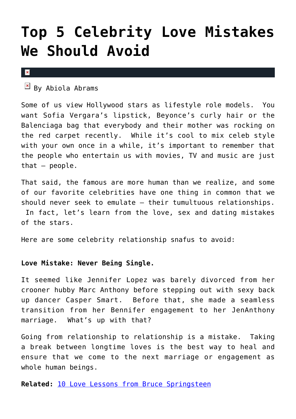# **[Top 5 Celebrity Love Mistakes](https://cupidspulse.com/27592/celebrity-love-mistakes-avoid-role-models/) [We Should Avoid](https://cupidspulse.com/27592/celebrity-love-mistakes-avoid-role-models/)**

#### $\mathbf{x}$

 $\overline{B}$  By Abiola Abrams

Some of us view Hollywood stars as lifestyle role models. You want Sofia Vergara's lipstick, Beyonce's curly hair or the Balenciaga bag that everybody and their mother was rocking on the red carpet recently. While it's cool to mix celeb style with your own once in a while, it's important to remember that the people who entertain us with movies, TV and music are just that  $-$  people.

That said, the famous are more human than we realize, and some of our favorite celebrities have one thing in common that we should never seek to emulate — their tumultuous relationships. In fact, let's learn from the love, sex and dating mistakes of the stars.

Here are some celebrity relationship snafus to avoid:

# **Love Mistake: Never Being Single.**

It seemed like Jennifer Lopez was barely divorced from her crooner hubby Marc Anthony before stepping out with sexy back up dancer Casper Smart. Before that, she made a seamless transition from her Bennifer engagement to her JenAnthony marriage. What's up with that?

Going from relationship to relationship is a mistake. Taking a break between longtime loves is the best way to heal and ensure that we come to the next marriage or engagement as whole human beings.

**Related:** [10 Love Lessons from Bruce Springsteen](http://cupidspulse.com/10-love-lessons-bruce-springsteen-singer-songs-lessons/)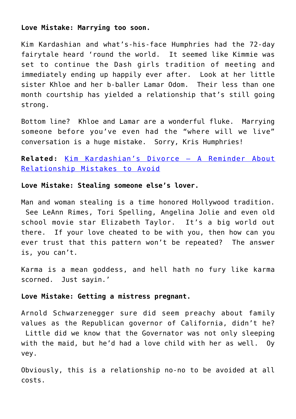# **Love Mistake: Marrying too soon.**

Kim Kardashian and what's-his-face Humphries had the 72-day fairytale heard 'round the world. It seemed like Kimmie was set to continue the Dash girls tradition of meeting and immediately ending up happily ever after. Look at her little sister Khloe and her b-baller Lamar Odom. Their less than one month courtship has yielded a relationship that's still going strong.

Bottom line? Khloe and Lamar are a wonderful fluke. Marrying someone before you've even had the "where will we live" conversation is a huge mistake. Sorry, Kris Humphries!

# **Related:** [Kim Kardashian's Divorce – A Reminder About](http://cupidspulse.com/kim-kardashian-divorce-reminder-relationship-mistakes-avoid-kris-humphries-marriage-split-breakup/) [Relationship Mistakes to Avoid](http://cupidspulse.com/kim-kardashian-divorce-reminder-relationship-mistakes-avoid-kris-humphries-marriage-split-breakup/)

### **Love Mistake: Stealing someone else's lover.**

Man and woman stealing is a time honored Hollywood tradition. See LeAnn Rimes, Tori Spelling, Angelina Jolie and even old school movie star Elizabeth Taylor. It's a big world out there. If your love cheated to be with you, then how can you ever trust that this pattern won't be repeated? The answer is, you can't.

Karma is a mean goddess, and hell hath no fury like karma scorned. Just sayin.'

# **Love Mistake: Getting a mistress pregnant.**

Arnold Schwarzenegger sure did seem preachy about family values as the Republican governor of California, didn't he? Little did we know that the Governator was not only sleeping with the maid, but he'd had a love child with her as well. Oy vey.

Obviously, this is a relationship no-no to be avoided at all costs.